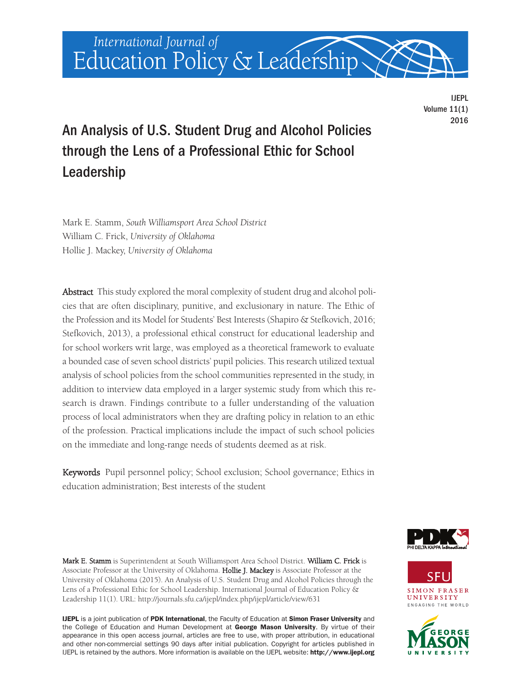

IJEPL Volume 11(1) 2016

# An Analysis of U.S. Student Drug and Alcohol Policies through the Lens of a Professional Ethic for School Leadership

Mark E. Stamm, *South Williamsport Area School District* William C. Frick, *University of Oklahoma* Hollie J. Mackey, *University of Oklahoma*

Abstract This study explored the moral complexity of student drug and alcohol policies that are often disciplinary, punitive, and exclusionary in nature. The Ethic of the Profession and its Model for Students' Best Interests (Shapiro & Stefkovich, 2016; Stefkovich, 2013), a professional ethical construct for educational leadership and for school workers writ large, was employed as a theoretical framework to evaluate a bounded case of seven school districts' pupil policies. This research utilized textual analysis of school policies from the school communities represented in the study, in addition to interview data employed in a larger systemic study from which this research is drawn. Findings contribute to a fuller understanding of the valuation process of local administrators when they are drafting policy in relation to an ethic of the profession. Practical implications include the impact of such school policies on the immediate and long-range needs of students deemed as at risk.

Keywords Pupil personnel policy; School exclusion; School governance; Ethics in education administration; Best interests of the student

Mark E. Stamm is Superintendent at South Williamsport Area School District. William C. Frick is Associate Professor at the University of Oklahoma. Hollie J. Mackey is Associate Professor at the University of Oklahoma (2015). An Analysis of U.S. Student Drug and Alcohol Policies through the Lens of a Professional Ethic for School Leadership. International Journal of Education Policy & Leadership 11(1). URL: <http://journals.sfu.ca/ijepl/index.php/ijepl/article/view/631>

**IJEPL** is a joint publication of **PDK International**, the Faculty of Education at **Simon Fraser University** and the College of Education and Human Development at **George Mason University**. By virtue of their appearance in this open access journal, articles are free to use, with proper attribution, in educational and other non-commercial settings 90 days after initial publication. Copyright for articles published in IJEPL is retained by the authors. More information is available on the IJEPL website: **<http://www.ijepl.org>**





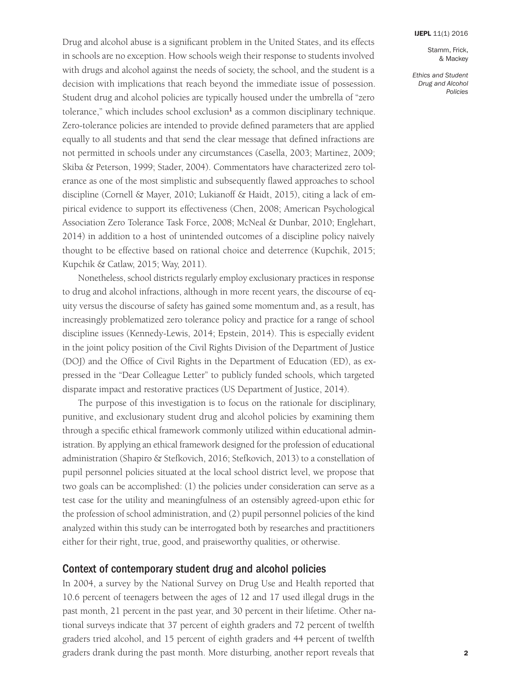Stamm, Frick, & Mackey

*Ethics and Student Drug and Alcohol Policies*

Drug and alcohol abuse is a significant problem in the United States, and its effects in schools are no exception. How schools weigh their response to students involved with drugs and alcohol against the needs of society, the school, and the student is a decision with implications that reach beyond the immediate issue of possession. Student drug and alcohol policies are typically housed under the umbrella of "zero tolerance," which includes school exclusion<sup>1</sup> as a common disciplinary technique. Zero-tolerance policies are intended to provide defined parameters that are applied equally to all students and that send the clear message that defined infractions are not permitted in schools under any circumstances (Casella, 2003; Martinez, 2009; Skiba & Peterson, 1999; Stader, 2004). Commentators have characterized zero tolerance as one of the most simplistic and subsequently flawed approaches to school discipline (Cornell & Mayer, 2010; Lukianoff & Haidt, 2015), citing a lack of empirical evidence to support its effectiveness (Chen, 2008; American Psychological Association Zero Tolerance Task Force, 2008; McNeal & Dunbar, 2010; Englehart, 2014) in addition to a host of unintended outcomes of a discipline policy naïvely thought to be effective based on rational choice and deterrence (Kupchik, 2015; Kupchik & Catlaw, 2015; Way, 2011).

Nonetheless, school districts regularly employ exclusionary practices in response to drug and alcohol infractions, although in more recent years, the discourse of equity versus the discourse of safety has gained some momentum and, as a result, has increasingly problematized zero tolerance policy and practice for a range of school discipline issues (Kennedy-Lewis, 2014; Epstein, 2014). This is especially evident in the joint policy position of the Civil Rights Division of the Department of Justice (DOJ) and the Office of Civil Rights in the Department of Education (ED), as expressed in the "Dear Colleague Letter" to publicly funded schools, which targeted disparate impact and restorative practices (US Department of Justice, 2014).

The purpose of this investigation is to focus on the rationale for disciplinary, punitive, and exclusionary student drug and alcohol policies by examining them through a specific ethical framework commonly utilized within educational administration. By applying an ethical framework designed for the profession of educational administration (Shapiro & Stefkovich, 2016; Stefkovich, 2013) to a constellation of pupil personnel policies situated at the local school district level, we propose that two goals can be accomplished: (1) the policies under consideration can serve as a test case for the utility and meaningfulness of an ostensibly agreed-upon ethic for the profession of school administration, and (2) pupil personnel policies of the kind analyzed within this study can be interrogated both by researches and practitioners either for their right, true, good, and praiseworthy qualities, or otherwise.

# Context of contemporary student drug and alcohol policies

In 2004, a survey by the National Survey on Drug Use and Health reported that 10.6 percent of teenagers between the ages of 12 and 17 used illegal drugs in the past month, 21 percent in the past year, and 30 percent in their lifetime. Other national surveys indicate that 37 percent of eighth graders and 72 percent of twelfth graders tried alcohol, and 15 percent of eighth graders and 44 percent of twelfth graders drank during the past month. More disturbing, another report reveals that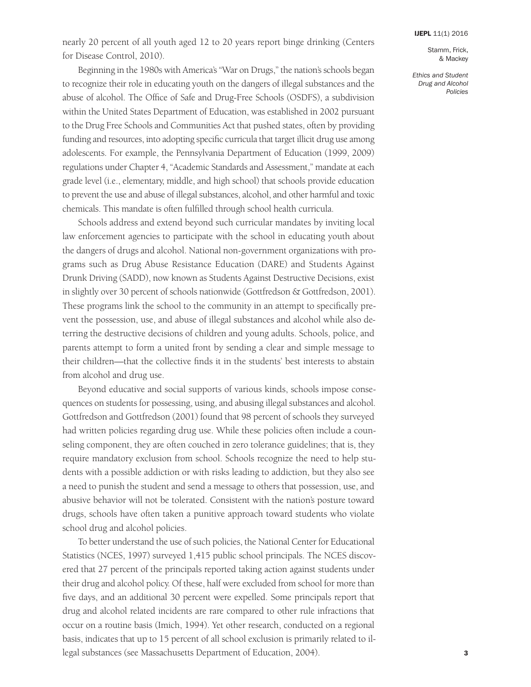nearly 20 percent of all youth aged 12 to 20 years report binge drinking (Centers for Disease Control, 2010).

Beginning in the 1980s with America's "War on Drugs," the nation's schools began to recognize their role in educating youth on the dangers of illegal substances and the abuse of alcohol. The Office of Safe and Drug-Free Schools (OSDFS), a subdivision within the United States Department of Education, was established in 2002 pursuant to the Drug Free Schools and Communities Act that pushed states, often by providing funding and resources, into adopting specific curricula that target illicit drug use among adolescents. For example, the Pennsylvania Department of Education (1999, 2009) regulations under Chapter 4, "Academic Standards and Assessment," mandate at each grade level (i.e., elementary, middle, and high school) that schools provide education to prevent the use and abuse of illegal substances, alcohol, and other harmful and toxic chemicals. This mandate is often fulfilled through school health curricula.

Schools address and extend beyond such curricular mandates by inviting local law enforcement agencies to participate with the school in educating youth about the dangers of drugs and alcohol. National non-government organizations with programs such as Drug Abuse Resistance Education (DARE) and Students Against Drunk Driving (SADD), now known as Students Against Destructive Decisions, exist in slightly over 30 percent of schools nationwide (Gottfredson & Gottfredson, 2001). These programs link the school to the community in an attempt to specifically prevent the possession, use, and abuse of illegal substances and alcohol while also deterring the destructive decisions of children and young adults. Schools, police, and parents attempt to form a united front by sending a clear and simple message to their children—that the collective finds it in the students' best interests to abstain from alcohol and drug use.

Beyond educative and social supports of various kinds, schools impose consequences on students for possessing, using, and abusing illegal substances and alcohol. Gottfredson and Gottfredson (2001) found that 98 percent of schools they surveyed had written policies regarding drug use. While these policies often include a counseling component, they are often couched in zero tolerance guidelines; that is, they require mandatory exclusion from school. Schools recognize the need to help students with a possible addiction or with risks leading to addiction, but they also see a need to punish the student and send a message to others that possession, use, and abusive behavior will not be tolerated. Consistent with the nation's posture toward drugs, schools have often taken a punitive approach toward students who violate school drug and alcohol policies.

To better understand the use of such policies, the National Center for Educational Statistics (NCES, 1997) surveyed 1,415 public school principals. The NCES discovered that 27 percent of the principals reported taking action against students under their drug and alcohol policy. Of these, half were excluded from school for more than five days, and an additional 30 percent were expelled. Some principals report that drug and alcohol related incidents are rare compared to other rule infractions that occur on a routine basis (Imich, 1994). Yet other research, conducted on a regional basis, indicates that up to 15 percent of all school exclusion is primarily related to illegal substances (see Massachusetts Department of Education, 2004).

Stamm, Frick, & Mackey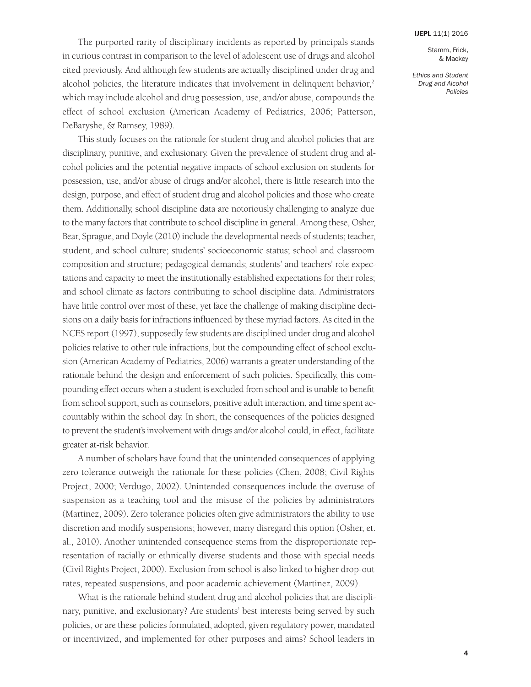Stamm, Frick, & Mackey

*Ethics and Student Drug and Alcohol Policies*

The purported rarity of disciplinary incidents as reported by principals stands in curious contrast in comparison to the level of adolescent use of drugs and alcohol cited previously. And although few students are actually disciplined under drug and alcohol policies, the literature indicates that involvement in delinquent behavior, 2 which may include alcohol and drug possession, use, and/or abuse, compounds the effect of school exclusion (American Academy of Pediatrics, 2006; Patterson, DeBaryshe, & Ramsey, 1989).

This study focuses on the rationale for student drug and alcohol policies that are disciplinary, punitive, and exclusionary. Given the prevalence of student drug and alcohol policies and the potential negative impacts of school exclusion on students for possession, use, and/or abuse of drugs and/or alcohol, there is little research into the design, purpose, and effect of student drug and alcohol policies and those who create them. Additionally, school discipline data are notoriously challenging to analyze due to the many factors that contribute to school discipline in general. Among these, Osher, Bear, Sprague, and Doyle (2010) include the developmental needs of students; teacher, student, and school culture; students' socioeconomic status; school and classroom composition and structure; pedagogical demands; students' and teachers' role expectations and capacity to meet the institutionally established expectations for their roles; and school climate as factors contributing to school discipline data. Administrators have little control over most of these, yet face the challenge of making discipline decisions on a daily basis for infractions influenced by these myriad factors. As cited in the NCES report (1997), supposedly few students are disciplined under drug and alcohol policies relative to other rule infractions, but the compounding effect of school exclusion (American Academy of Pediatrics, 2006) warrants a greater understanding of the rationale behind the design and enforcement of such policies. Specifically, this compounding effect occurs when a student is excluded from school and is unable to benefit from school support, such as counselors, positive adult interaction, and time spent accountably within the school day. In short, the consequences of the policies designed to prevent the student's involvement with drugs and/or alcohol could, in effect, facilitate greater at-risk behavior.

A number of scholars have found that the unintended consequences of applying zero tolerance outweigh the rationale for these policies (Chen, 2008; Civil Rights Project, 2000; Verdugo, 2002). Unintended consequences include the overuse of suspension as a teaching tool and the misuse of the policies by administrators (Martinez, 2009). Zero tolerance policies often give administrators the ability to use discretion and modify suspensions; however, many disregard this option (Osher, et. al., 2010). Another unintended consequence stems from the disproportionate representation of racially or ethnically diverse students and those with special needs (Civil Rights Project, 2000). Exclusion from school is also linked to higher drop-out rates, repeated suspensions, and poor academic achievement (Martinez, 2009).

What is the rationale behind student drug and alcohol policies that are disciplinary, punitive, and exclusionary? Are students' best interests being served by such policies, or are these policies formulated, adopted, given regulatory power, mandated or incentivized, and implemented for other purposes and aims? School leaders in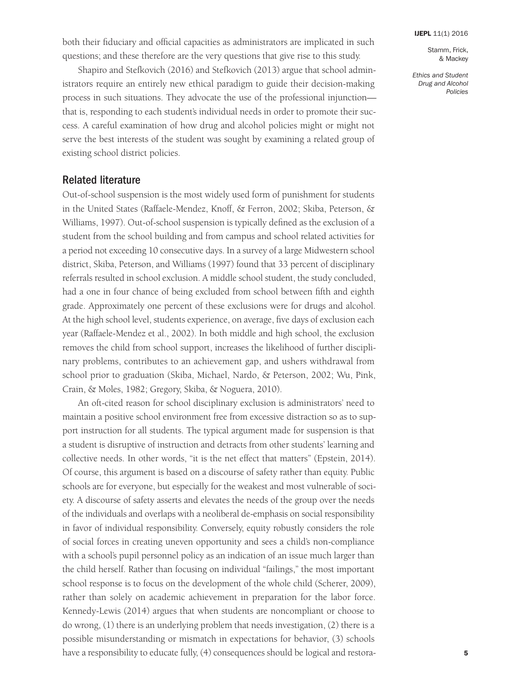both their fiduciary and official capacities as administrators are implicated in such questions; and these therefore are the very questions that give rise to this study.

Shapiro and Stefkovich (2016) and Stefkovich (2013) argue that school administrators require an entirely new ethical paradigm to guide their decision-making process in such situations. They advocate the use of the professional injunction that is, responding to each student's individual needs in order to promote their success. A careful examination of how drug and alcohol policies might or might not serve the best interests of the student was sought by examining a related group of existing school district policies.

### Related literature

Out-of-school suspension is the most widely used form of punishment for students in the United States (Raffaele-Mendez, Knoff, & Ferron, 2002; Skiba, Peterson, & Williams, 1997). Out-of-school suspension is typically defined as the exclusion of a student from the school building and from campus and school related activities for a period not exceeding 10 consecutive days. In a survey of a large Midwestern school district, Skiba, Peterson, and Williams (1997) found that 33 percent of disciplinary referrals resulted in school exclusion. A middle school student, the study concluded, had a one in four chance of being excluded from school between fifth and eighth grade. Approximately one percent of these exclusions were for drugs and alcohol. At the high school level, students experience, on average, five days of exclusion each year (Raffaele-Mendez et al., 2002). In both middle and high school, the exclusion removes the child from school support, increases the likelihood of further disciplinary problems, contributes to an achievement gap, and ushers withdrawal from school prior to graduation (Skiba, Michael, Nardo, & Peterson, 2002; Wu, Pink, Crain, & Moles, 1982; Gregory, Skiba, & Noguera, 2010).

An oft-cited reason for school disciplinary exclusion is administrators' need to maintain a positive school environment free from excessive distraction so as to support instruction for all students. The typical argument made for suspension is that a student is disruptive of instruction and detracts from other students' learning and collective needs. In other words, "it is the net effect that matters" (Epstein, 2014). Of course, this argument is based on a discourse of safety rather than equity. Public schools are for everyone, but especially for the weakest and most vulnerable of society. A discourse of safety asserts and elevates the needs of the group over the needs of the individuals and overlaps with a neoliberal de-emphasis on social responsibility in favor of individual responsibility. Conversely, equity robustly considers the role of social forces in creating uneven opportunity and sees a child's non-compliance with a school's pupil personnel policy as an indication of an issue much larger than the child herself. Rather than focusing on individual "failings," the most important school response is to focus on the development of the whole child (Scherer, 2009), rather than solely on academic achievement in preparation for the labor force. Kennedy-Lewis (2014) argues that when students are noncompliant or choose to do wrong, (1) there is an underlying problem that needs investigation, (2) there is a possible misunderstanding or mismatch in expectations for behavior, (3) schools have a responsibility to educate fully, (4) consequences should be logical and restoraStamm, Frick, & Mackey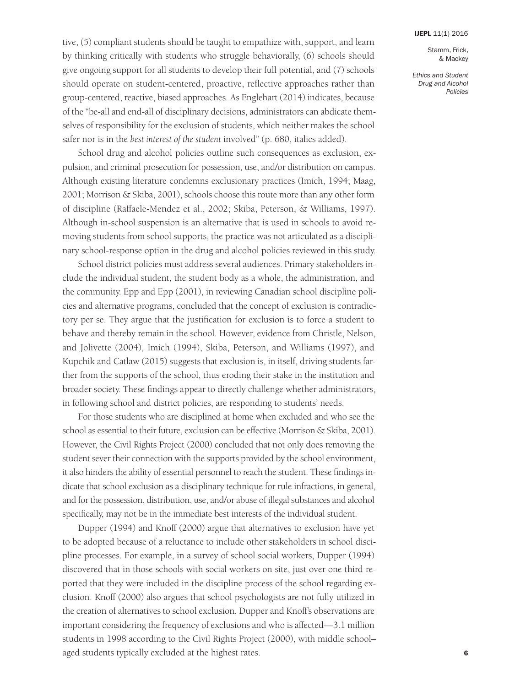Stamm, Frick, & Mackey

*Ethics and Student Drug and Alcohol Policies*

tive, (5) compliant students should be taught to empathize with, support, and learn by thinking critically with students who struggle behaviorally, (6) schools should give ongoing support for all students to develop their full potential, and (7) schools should operate on student-centered, proactive, reflective approaches rather than group-centered, reactive, biased approaches. As Englehart (2014) indicates, because of the "be-all and end-all of disciplinary decisions, administrators can abdicate themselves of responsibility for the exclusion of students, which neither makes the school safer nor is in the *best interest of the student* involved" (p. 680, italics added).

School drug and alcohol policies outline such consequences as exclusion, expulsion, and criminal prosecution for possession, use, and/or distribution on campus. Although existing literature condemns exclusionary practices (Imich, 1994; Maag, 2001; Morrison & Skiba, 2001), schools choose this route more than any other form of discipline (Raffaele-Mendez et al., 2002; Skiba, Peterson, & Williams, 1997). Although in-school suspension is an alternative that is used in schools to avoid removing students from school supports, the practice was not articulated as a disciplinary school-response option in the drug and alcohol policies reviewed in this study.

School district policies must address several audiences. Primary stakeholders include the individual student, the student body as a whole, the administration, and the community. Epp and Epp (2001), in reviewing Canadian school discipline policies and alternative programs, concluded that the concept of exclusion is contradictory per se. They argue that the justification for exclusion is to force a student to behave and thereby remain in the school. However, evidence from Christle, Nelson, and Jolivette (2004), Imich (1994), Skiba, Peterson, and Williams (1997), and Kupchik and Catlaw (2015) suggests that exclusion is, in itself, driving students farther from the supports of the school, thus eroding their stake in the institution and broader society. These findings appear to directly challenge whether administrators, in following school and district policies, are responding to students' needs.

For those students who are disciplined at home when excluded and who see the school as essential to their future, exclusion can be effective (Morrison & Skiba, 2001). However, the Civil Rights Project (2000) concluded that not only does removing the student sever their connection with the supports provided by the school environment, it also hinders the ability of essential personnel to reach the student. These findings indicate that school exclusion as a disciplinary technique for rule infractions, in general, and for the possession, distribution, use, and/or abuse of illegal substances and alcohol specifically, may not be in the immediate best interests of the individual student.

Dupper (1994) and Knoff (2000) argue that alternatives to exclusion have yet to be adopted because of a reluctance to include other stakeholders in school discipline processes. For example, in a survey of school social workers, Dupper (1994) discovered that in those schools with social workers on site, just over one third reported that they were included in the discipline process of the school regarding exclusion. Knoff (2000) also argues that school psychologists are not fully utilized in the creation of alternatives to school exclusion. Dupper and Knoff's observations are important considering the frequency of exclusions and who is affected—3.1 million students in 1998 according to the Civil Rights Project (2000), with middle school– aged students typically excluded at the highest rates.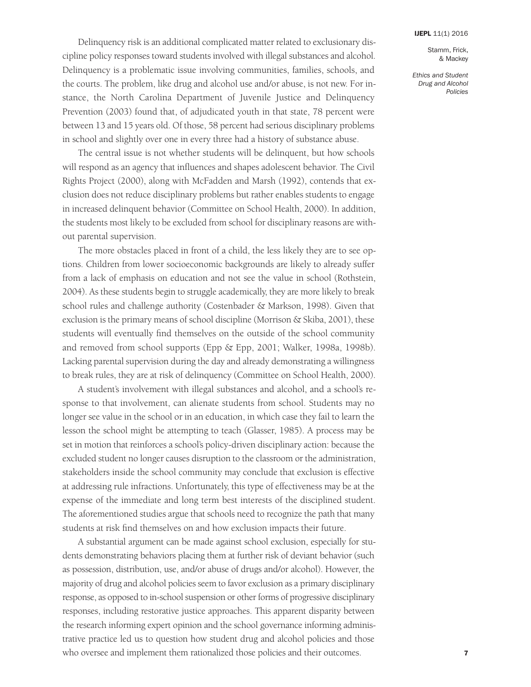Stamm, Frick, & Mackey

*Ethics and Student Drug and Alcohol Policies*

Delinquency risk is an additional complicated matter related to exclusionary discipline policy responses toward students involved with illegal substances and alcohol. Delinquency is a problematic issue involving communities, families, schools, and the courts. The problem, like drug and alcohol use and/or abuse, is not new. For instance, the North Carolina Department of Juvenile Justice and Delinquency Prevention (2003) found that, of adjudicated youth in that state, 78 percent were between 13 and 15 years old. Of those, 58 percent had serious disciplinary problems in school and slightly over one in every three had a history of substance abuse.

The central issue is not whether students will be delinquent, but how schools will respond as an agency that influences and shapes adolescent behavior. The Civil Rights Project (2000), along with McFadden and Marsh (1992), contends that exclusion does not reduce disciplinary problems but rather enables students to engage in increased delinquent behavior (Committee on School Health, 2000). In addition, the students most likely to be excluded from school for disciplinary reasons are without parental supervision.

The more obstacles placed in front of a child, the less likely they are to see options. Children from lower socioeconomic backgrounds are likely to already suffer from a lack of emphasis on education and not see the value in school (Rothstein, 2004). As these students begin to struggle academically, they are more likely to break school rules and challenge authority (Costenbader & Markson, 1998). Given that exclusion is the primary means of school discipline (Morrison & Skiba, 2001), these students will eventually find themselves on the outside of the school community and removed from school supports (Epp & Epp, 2001; Walker, 1998a, 1998b). Lacking parental supervision during the day and already demonstrating a willingness to break rules, they are at risk of delinquency (Committee on School Health, 2000).

A student's involvement with illegal substances and alcohol, and a school's response to that involvement, can alienate students from school. Students may no longer see value in the school or in an education, in which case they fail to learn the lesson the school might be attempting to teach (Glasser, 1985). A process may be set in motion that reinforces a school's policy-driven disciplinary action: because the excluded student no longer causes disruption to the classroom or the administration, stakeholders inside the school community may conclude that exclusion is effective at addressing rule infractions. Unfortunately, this type of effectiveness may be at the expense of the immediate and long term best interests of the disciplined student. The aforementioned studies argue that schools need to recognize the path that many students at risk find themselves on and how exclusion impacts their future.

A substantial argument can be made against school exclusion, especially for students demonstrating behaviors placing them at further risk of deviant behavior (such as possession, distribution, use, and/or abuse of drugs and/or alcohol). However, the majority of drug and alcohol policies seem to favor exclusion as a primary disciplinary response, as opposed to in-school suspension or other forms of progressive disciplinary responses, including restorative justice approaches. This apparent disparity between the research informing expert opinion and the school governance informing administrative practice led us to question how student drug and alcohol policies and those who oversee and implement them rationalized those policies and their outcomes.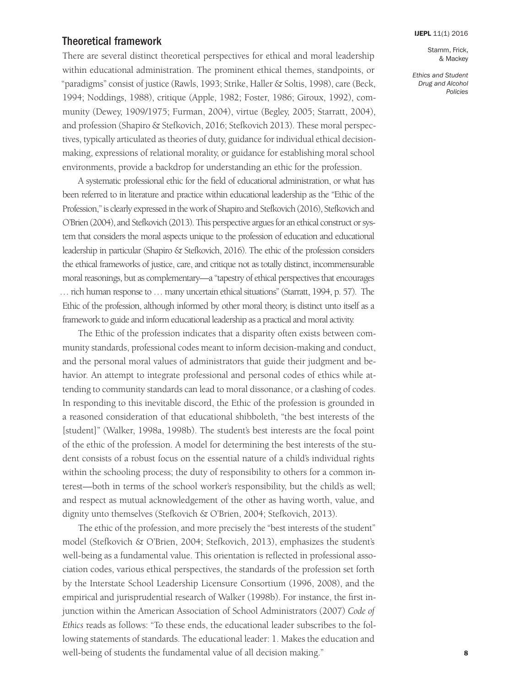# Theoretical framework

There are several distinct theoretical perspectives for ethical and moral leadership within educational administration. The prominent ethical themes, standpoints, or "paradigms" consist of justice (Rawls, 1993; Strike, Haller & Soltis, 1998), care (Beck, 1994; Noddings, 1988), critique (Apple, 1982; Foster, 1986; Giroux, 1992), community (Dewey, 1909/1975; Furman, 2004), virtue (Begley, 2005; Starratt, 2004), and profession (Shapiro & Stefkovich, 2016; Stefkovich 2013). These moral perspectives, typically articulated as theories of duty, guidance for individual ethical decisionmaking, expressions of relational morality, or guidance for establishing moral school environments, provide a backdrop for understanding an ethic for the profession.

A systematic professional ethic for the field of educational administration, or what has been referred to in literature and practice within educational leadership as the "Ethic of the Profession," is clearly expressed in the work of Shapiro and Stefkovich (2016), Stefkovich and O'Brien (2004), and Stefkovich (2013). This perspective argues for an ethical construct or system that considers the moral aspects unique to the profession of education and educational leadership in particular (Shapiro & Stefkovich, 2016). The ethic of the profession considers the ethical frameworks of justice, care, and critique not as totally distinct, incommensurable moral reasonings, but as complementary—a "tapestry of ethical perspectives that encourages … rich human response to … many uncertain ethical situations" (Starratt, 1994, p. 57). The Ethic of the profession, although informed by other moral theory, is distinct unto itself as a framework to guide and inform educational leadership as a practical and moral activity.

The Ethic of the profession indicates that a disparity often exists between community standards, professional codes meant to inform decision-making and conduct, and the personal moral values of administrators that guide their judgment and behavior. An attempt to integrate professional and personal codes of ethics while attending to community standards can lead to moral dissonance, or a clashing of codes. In responding to this inevitable discord, the Ethic of the profession is grounded in a reasoned consideration of that educational shibboleth, "the best interests of the [student]" (Walker, 1998a, 1998b). The student's best interests are the focal point of the ethic of the profession. A model for determining the best interests of the student consists of a robust focus on the essential nature of a child's individual rights within the schooling process; the duty of responsibility to others for a common interest—both in terms of the school worker's responsibility, but the child's as well; and respect as mutual acknowledgement of the other as having worth, value, and dignity unto themselves (Stefkovich & O'Brien, 2004; Stefkovich, 2013).

The ethic of the profession, and more precisely the "best interests of the student" model (Stefkovich & O'Brien, 2004; Stefkovich, 2013), emphasizes the student's well-being as a fundamental value. This orientation is reflected in professional association codes, various ethical perspectives, the standards of the profession set forth by the Interstate School Leadership Licensure Consortium (1996, 2008), and the empirical and jurisprudential research of Walker (1998b). For instance, the first injunction within the American Association of School Administrators (2007) *Code of Ethics* reads as follows: "To these ends, the educational leader subscribes to the following statements of standards. The educational leader: 1. Makes the education and well-being of students the fundamental value of all decision making."

Stamm, Frick, & Mackey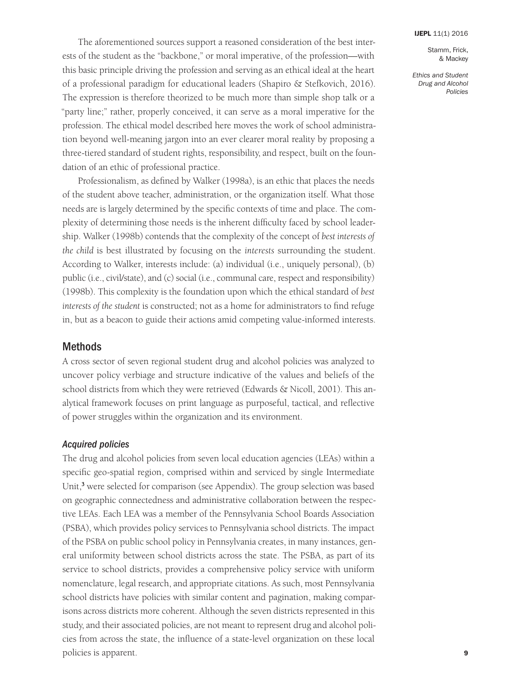Stamm, Frick, & Mackey

*Ethics and Student Drug and Alcohol Policies*

The aforementioned sources support a reasoned consideration of the best interests of the student as the "backbone," or moral imperative, of the profession—with this basic principle driving the profession and serving as an ethical ideal at the heart of a professional paradigm for educational leaders (Shapiro & Stefkovich, 2016). The expression is therefore theorized to be much more than simple shop talk or a "party line;" rather, properly conceived, it can serve as a moral imperative for the profession. The ethical model described here moves the work of school administration beyond well-meaning jargon into an ever clearer moral reality by proposing a three-tiered standard of student rights, responsibility, and respect, built on the foundation of an ethic of professional practice.

Professionalism, as defined by Walker (1998a), is an ethic that places the needs of the student above teacher, administration, or the organization itself. What those needs are is largely determined by the specific contexts of time and place. The complexity of determining those needs is the inherent difficulty faced by school leadership. Walker (1998b) contends that the complexity of the concept of *best interests of the child* is best illustrated by focusing on the *interests* surrounding the student. According to Walker, interests include: (a) individual (i.e., uniquely personal), (b) public (i.e., civil/state), and (c) social (i.e., communal care, respect and responsibility) (1998b). This complexity is the foundation upon which the ethical standard of *best interests of the student* is constructed; not as a home for administrators to find refuge in, but as a beacon to guide their actions amid competing value-informed interests.

### Methods

A cross sector of seven regional student drug and alcohol policies was analyzed to uncover policy verbiage and structure indicative of the values and beliefs of the school districts from which they were retrieved (Edwards & Nicoll, 2001). This analytical framework focuses on print language as purposeful, tactical, and reflective of power struggles within the organization and its environment.

### *Acquired policies*

The drug and alcohol policies from seven local education agencies (LEAs) within a specific geo-spatial region, comprised within and serviced by single Intermediate Unit, <sup>3</sup> were selected for comparison (see Appendix). The group selection was based on geographic connectedness and administrative collaboration between the respective LEAs. Each LEA was a member of the Pennsylvania School Boards Association (PSBA), which provides policy services to Pennsylvania school districts. The impact of the PSBA on public school policy in Pennsylvania creates, in many instances, general uniformity between school districts across the state. The PSBA, as part of its service to school districts, provides a comprehensive policy service with uniform nomenclature, legal research, and appropriate citations. As such, most Pennsylvania school districts have policies with similar content and pagination, making comparisons across districts more coherent. Although the seven districts represented in this study, and their associated policies, are not meant to represent drug and alcohol policies from across the state, the influence of a state-level organization on these local policies is apparent.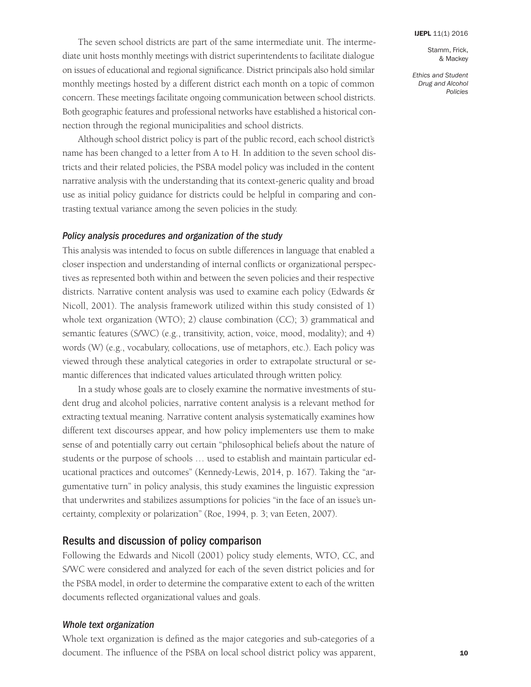Stamm, Frick, & Mackey

*Ethics and Student Drug and Alcohol Policies*

The seven school districts are part of the same intermediate unit. The intermediate unit hosts monthly meetings with district superintendents to facilitate dialogue on issues of educational and regional significance. District principals also hold similar monthly meetings hosted by a different district each month on a topic of common concern. These meetings facilitate ongoing communication between school districts. Both geographic features and professional networks have established a historical connection through the regional municipalities and school districts.

Although school district policy is part of the public record, each school district's name has been changed to a letter from A to H. In addition to the seven school districts and their related policies, the PSBA model policy was included in the content narrative analysis with the understanding that its context-generic quality and broad use as initial policy guidance for districts could be helpful in comparing and contrasting textual variance among the seven policies in the study.

### *Policy analysis procedures and organization of the study*

This analysis was intended to focus on subtle differences in language that enabled a closer inspection and understanding of internal conflicts or organizational perspectives as represented both within and between the seven policies and their respective districts. Narrative content analysis was used to examine each policy (Edwards & Nicoll, 2001). The analysis framework utilized within this study consisted of 1) whole text organization (WTO); 2) clause combination (CC); 3) grammatical and semantic features (S/WC) (e.g., transitivity, action, voice, mood, modality); and 4) words (W) (e.g., vocabulary, collocations, use of metaphors, etc.). Each policy was viewed through these analytical categories in order to extrapolate structural or semantic differences that indicated values articulated through written policy.

In a study whose goals are to closely examine the normative investments of student drug and alcohol policies, narrative content analysis is a relevant method for extracting textual meaning. Narrative content analysis systematically examines how different text discourses appear, and how policy implementers use them to make sense of and potentially carry out certain "philosophical beliefs about the nature of students or the purpose of schools … used to establish and maintain particular educational practices and outcomes" (Kennedy-Lewis, 2014, p. 167). Taking the "argumentative turn" in policy analysis, this study examines the linguistic expression that underwrites and stabilizes assumptions for policies "in the face of an issue's uncertainty, complexity or polarization" (Roe, 1994, p. 3; van Eeten, 2007).

# Results and discussion of policy comparison

Following the Edwards and Nicoll (2001) policy study elements, WTO, CC, and S/WC were considered and analyzed for each of the seven district policies and for the PSBA model, in order to determine the comparative extent to each of the written documents reflected organizational values and goals.

### *Whole text organization*

Whole text organization is defined as the major categories and sub-categories of a document. The influence of the PSBA on local school district policy was apparent,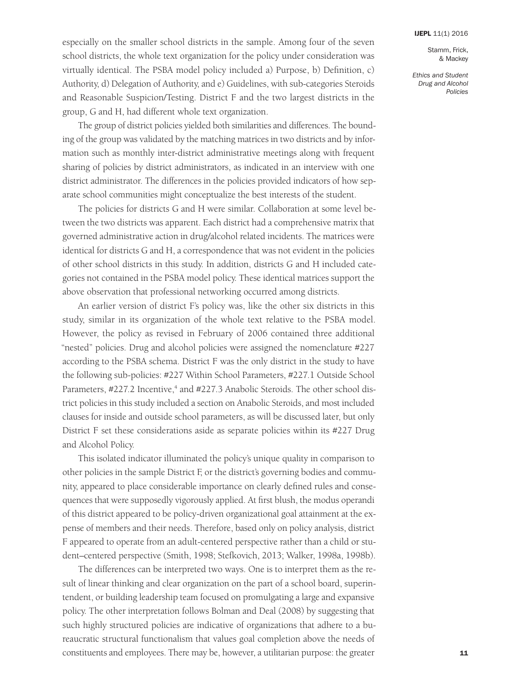Stamm, Frick, & Mackey

*Ethics and Student Drug and Alcohol Policies*

especially on the smaller school districts in the sample. Among four of the seven school districts, the whole text organization for the policy under consideration was virtually identical. The PSBA model policy included a) Purpose, b) Definition, c) Authority, d) Delegation of Authority, and e) Guidelines, with sub-categories Steroids and Reasonable Suspicion/Testing. District F and the two largest districts in the group, G and H, had different whole text organization.

The group of district policies yielded both similarities and differences. The bounding of the group was validated by the matching matrices in two districts and by information such as monthly inter-district administrative meetings along with frequent sharing of policies by district administrators, as indicated in an interview with one district administrator. The differences in the policies provided indicators of how separate school communities might conceptualize the best interests of the student.

The policies for districts G and H were similar. Collaboration at some level between the two districts was apparent. Each district had a comprehensive matrix that governed administrative action in drug/alcohol related incidents. The matrices were identical for districts G and H, a correspondence that was not evident in the policies of other school districts in this study. In addition, districts G and H included categories not contained in the PSBA model policy. These identical matrices support the above observation that professional networking occurred among districts.

An earlier version of district F's policy was, like the other six districts in this study, similar in its organization of the whole text relative to the PSBA model. However, the policy as revised in February of 2006 contained three additional "nested" policies. Drug and alcohol policies were assigned the nomenclature #227 according to the PSBA schema. District F was the only district in the study to have the following sub-policies: #227 Within School Parameters, #227.1 Outside School Parameters, #227.2 Incentive,<sup>4</sup> and #227.3 Anabolic Steroids. The other school district policies in this study included a section on Anabolic Steroids, and most included clauses for inside and outside school parameters, as will be discussed later, but only District F set these considerations aside as separate policies within its #227 Drug and Alcohol Policy.

This isolated indicator illuminated the policy's unique quality in comparison to other policies in the sample District F, or the district's governing bodies and community, appeared to place considerable importance on clearly defined rules and consequences that were supposedly vigorously applied. At first blush, the modus operandi of this district appeared to be policy-driven organizational goal attainment at the expense of members and their needs. Therefore, based only on policy analysis, district F appeared to operate from an adult-centered perspective rather than a child or student–centered perspective (Smith, 1998; Stefkovich, 2013; Walker, 1998a, 1998b).

The differences can be interpreted two ways. One is to interpret them as the result of linear thinking and clear organization on the part of a school board, superintendent, or building leadership team focused on promulgating a large and expansive policy. The other interpretation follows Bolman and Deal (2008) by suggesting that such highly structured policies are indicative of organizations that adhere to a bureaucratic structural functionalism that values goal completion above the needs of constituents and employees. There may be, however, a utilitarian purpose: the greater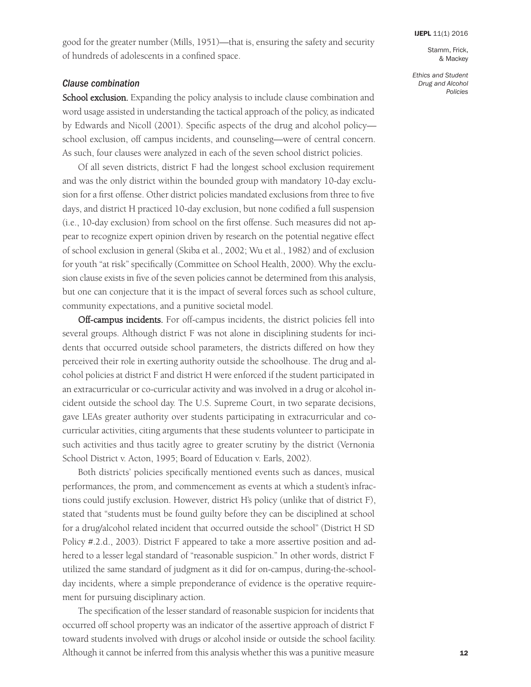good for the greater number (Mills, 1951)—that is, ensuring the safety and security of hundreds of adolescents in a confined space.

### *Clause combination*

School exclusion. Expanding the policy analysis to include clause combination and word usage assisted in understanding the tactical approach of the policy, as indicated by Edwards and Nicoll (2001). Specific aspects of the drug and alcohol policy school exclusion, off campus incidents, and counseling—were of central concern. As such, four clauses were analyzed in each of the seven school district policies.

Of all seven districts, district F had the longest school exclusion requirement and was the only district within the bounded group with mandatory 10-day exclusion for a first offense. Other district policies mandated exclusions from three to five days, and district H practiced 10-day exclusion, but none codified a full suspension (i.e., 10-day exclusion) from school on the first offense. Such measures did not appear to recognize expert opinion driven by research on the potential negative effect of school exclusion in general (Skiba et al., 2002; Wu et al., 1982) and of exclusion for youth "at risk" specifically (Committee on School Health, 2000). Why the exclusion clause exists in five of the seven policies cannot be determined from this analysis, but one can conjecture that it is the impact of several forces such as school culture, community expectations, and a punitive societal model.

Off-campus incidents. For off-campus incidents, the district policies fell into several groups. Although district F was not alone in disciplining students for incidents that occurred outside school parameters, the districts differed on how they perceived their role in exerting authority outside the schoolhouse. The drug and alcohol policies at district F and district H were enforced if the student participated in an extracurricular or co-curricular activity and was involved in a drug or alcohol incident outside the school day. The U.S. Supreme Court, in two separate decisions, gave LEAs greater authority over students participating in extracurricular and cocurricular activities, citing arguments that these students volunteer to participate in such activities and thus tacitly agree to greater scrutiny by the district (Vernonia School District v. Acton, 1995; Board of Education v. Earls, 2002).

Both districts' policies specifically mentioned events such as dances, musical performances, the prom, and commencement as events at which a student's infractions could justify exclusion. However, district H's policy (unlike that of district F), stated that "students must be found guilty before they can be disciplined at school for a drug/alcohol related incident that occurred outside the school" (District H SD Policy #.2.d., 2003). District F appeared to take a more assertive position and adhered to a lesser legal standard of "reasonable suspicion." In other words, district F utilized the same standard of judgment as it did for on-campus, during-the-schoolday incidents, where a simple preponderance of evidence is the operative requirement for pursuing disciplinary action.

The specification of the lesser standard of reasonable suspicion for incidents that occurred off school property was an indicator of the assertive approach of district F toward students involved with drugs or alcohol inside or outside the school facility. Although it cannot be inferred from this analysis whether this was a punitive measure

*Ethics and Student Drug and Alcohol*

*Policies*

Stamm, Frick, & Mackey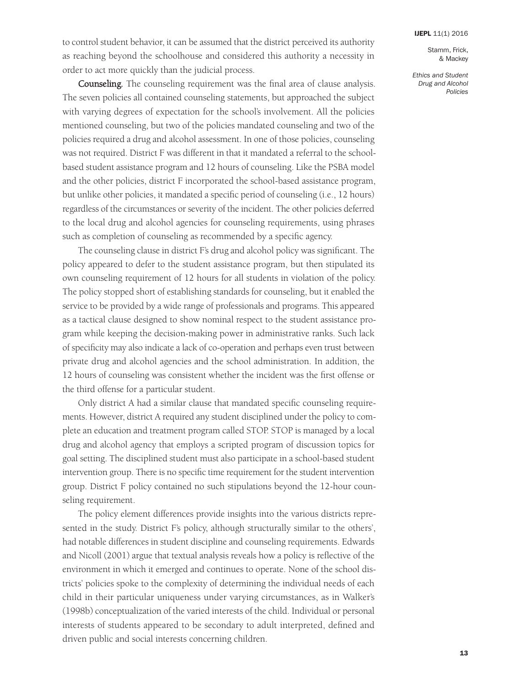to control student behavior, it can be assumed that the district perceived its authority as reaching beyond the schoolhouse and considered this authority a necessity in order to act more quickly than the judicial process.

Counseling*.* The counseling requirement was the final area of clause analysis. The seven policies all contained counseling statements, but approached the subject with varying degrees of expectation for the school's involvement. All the policies mentioned counseling, but two of the policies mandated counseling and two of the policies required a drug and alcohol assessment. In one of those policies, counseling was not required. District F was different in that it mandated a referral to the schoolbased student assistance program and 12 hours of counseling. Like the PSBA model and the other policies, district F incorporated the school-based assistance program, but unlike other policies, it mandated a specific period of counseling (i.e., 12 hours) regardless of the circumstances or severity of the incident. The other policies deferred to the local drug and alcohol agencies for counseling requirements, using phrases such as completion of counseling as recommended by a specific agency.

The counseling clause in district F's drug and alcohol policy was significant. The policy appeared to defer to the student assistance program, but then stipulated its own counseling requirement of 12 hours for all students in violation of the policy. The policy stopped short of establishing standards for counseling, but it enabled the service to be provided by a wide range of professionals and programs. This appeared as a tactical clause designed to show nominal respect to the student assistance program while keeping the decision-making power in administrative ranks. Such lack of specificity may also indicate a lack of co-operation and perhaps even trust between private drug and alcohol agencies and the school administration. In addition, the 12 hours of counseling was consistent whether the incident was the first offense or the third offense for a particular student.

Only district A had a similar clause that mandated specific counseling requirements. However, district A required any student disciplined under the policy to complete an education and treatment program called STOP. STOP is managed by a local drug and alcohol agency that employs a scripted program of discussion topics for goal setting. The disciplined student must also participate in a school-based student intervention group. There is no specific time requirement for the student intervention group. District F policy contained no such stipulations beyond the 12-hour counseling requirement.

The policy element differences provide insights into the various districts represented in the study. District F's policy, although structurally similar to the others', had notable differences in student discipline and counseling requirements. Edwards and Nicoll (2001) argue that textual analysis reveals how a policy is reflective of the environment in which it emerged and continues to operate. None of the school districts' policies spoke to the complexity of determining the individual needs of each child in their particular uniqueness under varying circumstances, as in Walker's (1998b) conceptualization of the varied interests of the child. Individual or personal interests of students appeared to be secondary to adult interpreted, defined and driven public and social interests concerning children.

Stamm, Frick, & Mackey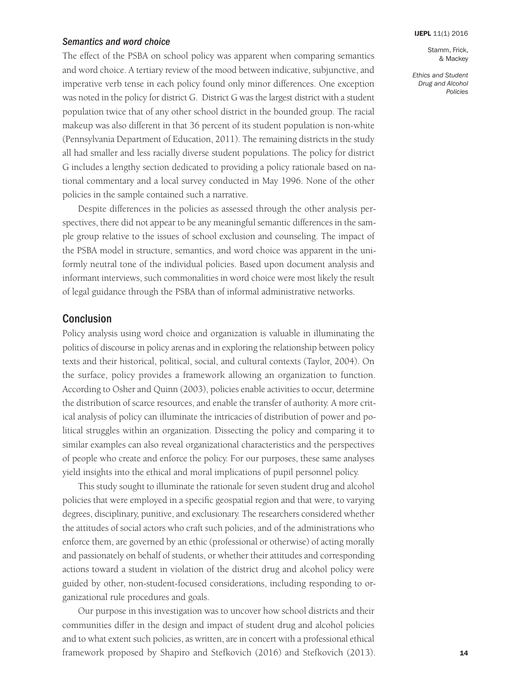### *Semantics and word choice*

The effect of the PSBA on school policy was apparent when comparing semantics and word choice. A tertiary review of the mood between indicative, subjunctive, and imperative verb tense in each policy found only minor differences. One exception was noted in the policy for district G. District G was the largest district with a student population twice that of any other school district in the bounded group. The racial makeup was also different in that 36 percent of its student population is non-white (Pennsylvania Department of Education, 2011). The remaining districts in the study all had smaller and less racially diverse student populations. The policy for district G includes a lengthy section dedicated to providing a policy rationale based on national commentary and a local survey conducted in May 1996. None of the other policies in the sample contained such a narrative.

Despite differences in the policies as assessed through the other analysis perspectives, there did not appear to be any meaningful semantic differences in the sample group relative to the issues of school exclusion and counseling. The impact of the PSBA model in structure, semantics, and word choice was apparent in the uniformly neutral tone of the individual policies. Based upon document analysis and informant interviews, such commonalities in word choice were most likely the result of legal guidance through the PSBA than of informal administrative networks.

# **Conclusion**

Policy analysis using word choice and organization is valuable in illuminating the politics of discourse in policy arenas and in exploring the relationship between policy texts and their historical, political, social, and cultural contexts (Taylor, 2004). On the surface, policy provides a framework allowing an organization to function. According to Osher and Quinn (2003), policies enable activities to occur, determine the distribution of scarce resources, and enable the transfer of authority. A more critical analysis of policy can illuminate the intricacies of distribution of power and political struggles within an organization. Dissecting the policy and comparing it to similar examples can also reveal organizational characteristics and the perspectives of people who create and enforce the policy. For our purposes, these same analyses yield insights into the ethical and moral implications of pupil personnel policy.

This study sought to illuminate the rationale for seven student drug and alcohol policies that were employed in a specific geospatial region and that were, to varying degrees, disciplinary, punitive, and exclusionary. The researchers considered whether the attitudes of social actors who craft such policies, and of the administrations who enforce them, are governed by an ethic (professional or otherwise) of acting morally and passionately on behalf of students, or whether their attitudes and corresponding actions toward a student in violation of the district drug and alcohol policy were guided by other, non-student-focused considerations, including responding to organizational rule procedures and goals.

Our purpose in this investigation was to uncover how school districts and their communities differ in the design and impact of student drug and alcohol policies and to what extent such policies, as written, are in concert with a professional ethical framework proposed by Shapiro and Stefkovich (2016) and Stefkovich (2013).

### **[IJEPL](http://www.ijepl.org)** 11(1) 2016

Stamm, Frick, & Mackey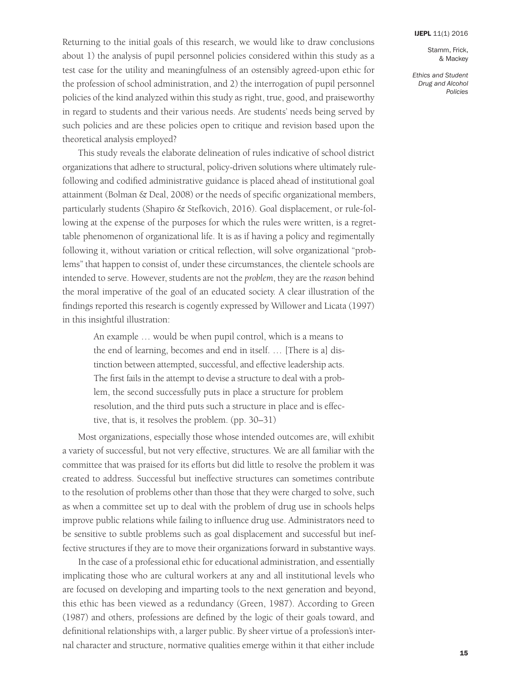Stamm, Frick, & Mackey

*Ethics and Student Drug and Alcohol Policies*

Returning to the initial goals of this research, we would like to draw conclusions about 1) the analysis of pupil personnel policies considered within this study as a test case for the utility and meaningfulness of an ostensibly agreed-upon ethic for the profession of school administration, and 2) the interrogation of pupil personnel policies of the kind analyzed within this study as right, true, good, and praiseworthy in regard to students and their various needs. Are students' needs being served by such policies and are these policies open to critique and revision based upon the theoretical analysis employed?

This study reveals the elaborate delineation of rules indicative of school district organizations that adhere to structural, policy-driven solutions where ultimately rulefollowing and codified administrative guidance is placed ahead of institutional goal attainment (Bolman & Deal, 2008) or the needs of specific organizational members, particularly students (Shapiro & Stefkovich, 2016). Goal displacement, or rule-following at the expense of the purposes for which the rules were written, is a regrettable phenomenon of organizational life. It is as if having a policy and regimentally following it, without variation or critical reflection, will solve organizational "problems" that happen to consist of, under these circumstances, the clientele schools are intended to serve. However, students are not the *problem*, they are the *reason* behind the moral imperative of the goal of an educated society. A clear illustration of the findings reported this research is cogently expressed by Willower and Licata (1997) in this insightful illustration:

An example … would be when pupil control, which is a means to the end of learning, becomes and end in itself. … [There is a] distinction between attempted, successful, and effective leadership acts. The first fails in the attempt to devise a structure to deal with a problem, the second successfully puts in place a structure for problem resolution, and the third puts such a structure in place and is effective, that is, it resolves the problem. (pp. 30–31)

Most organizations, especially those whose intended outcomes are, will exhibit a variety of successful, but not very effective, structures. We are all familiar with the committee that was praised for its efforts but did little to resolve the problem it was created to address. Successful but ineffective structures can sometimes contribute to the resolution of problems other than those that they were charged to solve, such as when a committee set up to deal with the problem of drug use in schools helps improve public relations while failing to influence drug use. Administrators need to be sensitive to subtle problems such as goal displacement and successful but ineffective structures if they are to move their organizations forward in substantive ways.

In the case of a professional ethic for educational administration, and essentially implicating those who are cultural workers at any and all institutional levels who are focused on developing and imparting tools to the next generation and beyond, this ethic has been viewed as a redundancy (Green, 1987). According to Green (1987) and others, professions are defined by the logic of their goals toward, and definitional relationships with, a larger public. By sheer virtue of a profession's internal character and structure, normative qualities emerge within it that either include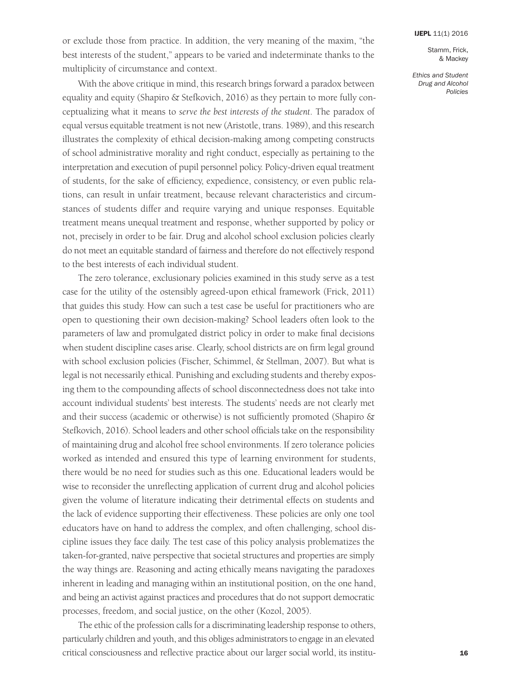or exclude those from practice. In addition, the very meaning of the maxim, "the best interests of the student," appears to be varied and indeterminate thanks to the multiplicity of circumstance and context.

With the above critique in mind, this research brings forward a paradox between equality and equity (Shapiro & Stefkovich, 2016) as they pertain to more fully conceptualizing what it means to *serve the best interests of the student*. The paradox of equal versus equitable treatment is not new (Aristotle, trans. 1989), and this research illustrates the complexity of ethical decision-making among competing constructs of school administrative morality and right conduct, especially as pertaining to the interpretation and execution of pupil personnel policy. Policy-driven equal treatment of students, for the sake of efficiency, expedience, consistency, or even public relations, can result in unfair treatment, because relevant characteristics and circumstances of students differ and require varying and unique responses. Equitable treatment means unequal treatment and response, whether supported by policy or not, precisely in order to be fair. Drug and alcohol school exclusion policies clearly do not meet an equitable standard of fairness and therefore do not effectively respond to the best interests of each individual student.

The zero tolerance, exclusionary policies examined in this study serve as a test case for the utility of the ostensibly agreed-upon ethical framework (Frick, 2011) that guides this study. How can such a test case be useful for practitioners who are open to questioning their own decision-making? School leaders often look to the parameters of law and promulgated district policy in order to make final decisions when student discipline cases arise. Clearly, school districts are on firm legal ground with school exclusion policies (Fischer, Schimmel, & Stellman, 2007). But what is legal is not necessarily ethical. Punishing and excluding students and thereby exposing them to the compounding affects of school disconnectedness does not take into account individual students' best interests. The students' needs are not clearly met and their success (academic or otherwise) is not sufficiently promoted (Shapiro & Stefkovich, 2016). School leaders and other school officials take on the responsibility of maintaining drug and alcohol free school environments. If zero tolerance policies worked as intended and ensured this type of learning environment for students, there would be no need for studies such as this one. Educational leaders would be wise to reconsider the unreflecting application of current drug and alcohol policies given the volume of literature indicating their detrimental effects on students and the lack of evidence supporting their effectiveness. These policies are only one tool educators have on hand to address the complex, and often challenging, school discipline issues they face daily. The test case of this policy analysis problematizes the taken-for-granted, naïve perspective that societal structures and properties are simply the way things are. Reasoning and acting ethically means navigating the paradoxes inherent in leading and managing within an institutional position, on the one hand, and being an activist against practices and procedures that do not support democratic processes, freedom, and social justice, on the other (Kozol, 2005).

The ethic of the profession calls for a discriminating leadership response to others, particularly children and youth, and this obliges administrators to engage in an elevated critical consciousness and reflective practice about our larger social world, its instituStamm, Frick, & Mackey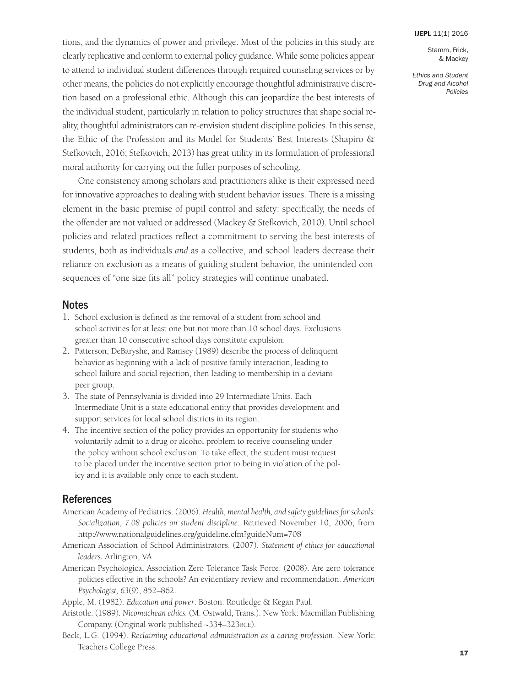Stamm, Frick, & Mackey

*Ethics and Student Drug and Alcohol Policies*

tions, and the dynamics of power and privilege. Most of the policies in this study are clearly replicative and conform to external policy guidance. While some policies appear to attend to individual student differences through required counseling services or by other means, the policies do not explicitly encourage thoughtful administrative discretion based on a professional ethic. Although this can jeopardize the best interests of the individual student, particularly in relation to policy structures that shape social reality, thoughtful administrators can re-envision student discipline policies. In this sense, the Ethic of the Profession and its Model for Students' Best Interests (Shapiro & Stefkovich, 2016; Stefkovich, 2013) has great utility in its formulation of professional moral authority for carrying out the fuller purposes of schooling.

One consistency among scholars and practitioners alike is their expressed need for innovative approaches to dealing with student behavior issues. There is a missing element in the basic premise of pupil control and safety: specifically, the needs of the offender are not valued or addressed (Mackey & Stefkovich, 2010). Until school policies and related practices reflect a commitment to serving the best interests of students, both as individuals *and* as a collective, and school leaders decrease their reliance on exclusion as a means of guiding student behavior, the unintended consequences of "one size fits all" policy strategies will continue unabated.

# **Notes**

- 1. School exclusion is defined as the removal of a student from school and school activities for at least one but not more than 10 school days. Exclusions greater than 10 consecutive school days constitute expulsion.
- 2. Patterson, DeBaryshe, and Ramsey (1989) describe the process of delinquent behavior as beginning with a lack of positive family interaction, leading to school failure and social rejection, then leading to membership in a deviant peer group.
- 3. The state of Pennsylvania is divided into 29 Intermediate Units. Each Intermediate Unit is a state educational entity that provides development and support services for local school districts in its region.
- 4. The incentive section of the policy provides an opportunity for students who voluntarily admit to a drug or alcohol problem to receive counseling under the policy without school exclusion. To take effect, the student must request to be placed under the incentive section prior to being in violation of the policy and it is available only once to each student.

# References

- American Academy of Pediatrics. (2006). *Health, mental health, and safety guidelines for schools: Socialization, 7.08 policies on student discipline*. Retrieved November 10, 2006, from <http://www.nationalguidelines.org/guideline.cfm?guideNum=708>
- American Association of School Administrators. (2007). *Statement of ethics for educational leaders.* Arlington, VA.
- American Psychological Association Zero Tolerance Task Force. (2008). Are zero tolerance policies effective in the schools? An evidentiary review and recommendation. *American Psychologist, 63*(9), 852–862.

Apple, M. (1982). *Education and power*. Boston: Routledge & Kegan Paul.

- Aristotle. (1989). *Nicomachean ethics.* (M. Ostwald, Trans.). New York: Macmillan Publishing Company. (Original work published ~334–323BCE).
- Beck, L.G. (1994). *Reclaiming educational administration as a caring profession*. New York: Teachers College Press.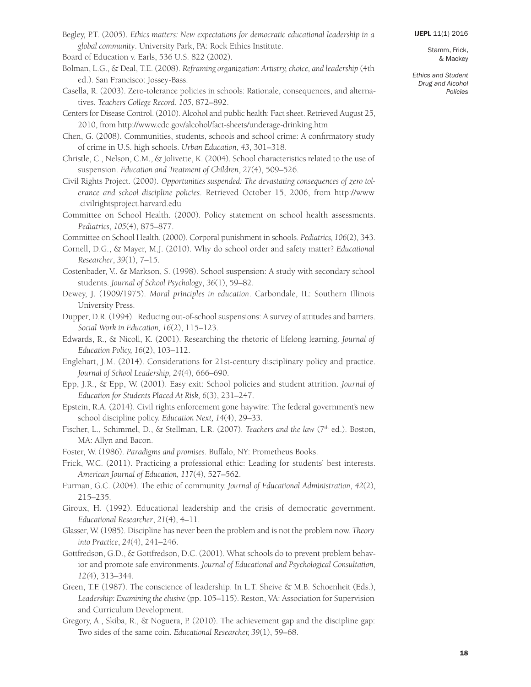Begley, P.T. (2005). *Ethics matters: New expectations for democratic educational leadership in a global community*. University Park, PA: Rock Ethics Institute.

Board of Education v. Earls, 536 U.S. 822 (2002).

- Bolman, L.G., & Deal, T.E. (2008). *Reframing organization: Artistry, choice, and leadership* (4th ed.). San Francisco: Jossey-Bass.
- Casella, R. (2003). Zero-tolerance policies in schools: Rationale, consequences, and alternatives. *Teachers College Record*, *105*, 872–892.
- Centers for Disease Control. (2010). Alcohol and public health: Fact sheet. Retrieved August 25, 2010, from <http://www.cdc.gov/alcohol/fact-sheets/underage-drinking.htm>
- Chen, G. (2008). Communities, students, schools and school crime: A confirmatory study of crime in U.S. high schools. *Urban Education*, *43*, 301–318.
- Christle, C., Nelson, C.M., & Jolivette, K. (2004). School characteristics related to the use of suspension. *Education and Treatment of Children*, *27*(4), 509–526.
- Civil Rights Project. (2000). *Opportunities suspended: The devastating consequences of zero tolerance and school discipline policies*. Retrieved October 15, 2006, from [http://www](http://www.civilrightsproject.harvard.edu) [.civilrightsproject.harvard.edu](http://www.civilrightsproject.harvard.edu)
- Committee on School Health. (2000). Policy statement on school health assessments. *Pediatrics*, *105*(4), 875–877.
- Committee on School Health. (2000). Corporal punishment in schools. *Pediatrics, 106*(2), 343.
- Cornell, D.G., & Mayer, M.J. (2010). Why do school order and safety matter? *Educational Researcher*, *39*(1), 7–15.
- Costenbader, V., & Markson, S. (1998). School suspension: A study with secondary school students. *Journal of School Psychology*, *36*(1), 59–82.
- Dewey, J. (1909/1975). *Moral principles in education*. Carbondale, IL: Southern Illinois University Press.
- Dupper, D.R. (1994). Reducing out-of-school suspensions: A survey of attitudes and barriers. *Social Work in Education, 16*(2), 115–123.
- Edwards, R., & Nicoll, K. (2001). Researching the rhetoric of lifelong learning. *Journal of Education Policy, 16*(2), 103–112.
- Englehart, J.M. (2014). Considerations for 21st-century disciplinary policy and practice. *Journal of School Leadership, 24*(4), 666–690.
- Epp, J.R., & Epp, W. (2001). Easy exit: School policies and student attrition. *Journal of Education for Students Placed At Risk, 6*(3), 231–247.
- Epstein, R.A. (2014). Civil rights enforcement gone haywire: The federal government's new school discipline policy. *Education Next, 14*(4), 29–33.
- Fischer, L., Schimmel, D., & Stellman, L.R. (2007). *Teachers and the law* (7th ed.). Boston, MA: Allyn and Bacon.
- Foster, W. (1986). *Paradigms and promises*. Buffalo, NY: Prometheus Books.
- Frick, W.C. (2011). Practicing a professional ethic: Leading for students' best interests. *American Journal of Education, 117*(4), 527–562.
- Furman, G.C. (2004). The ethic of community. *Journal of Educational Administration*, *42*(2), 215–235.
- Giroux, H. (1992). Educational leadership and the crisis of democratic government. *Educational Researcher*, *21*(4), 4–11.
- Glasser, W. (1985). Discipline has never been the problem and is not the problem now. *Theory into Practice*, *24*(4), 241–246.
- Gottfredson, G.D., & Gottfredson, D.C. (2001). What schools do to prevent problem behavior and promote safe environments. *Journal of Educational and Psychological Consultation, 12(*4), 313–344.
- Green, T.F. (1987). The conscience of leadership. In L.T. Sheive & M.B. Schoenheit (Eds.), Leadership: Examining the elusive (pp. 105–115). Reston, VA: Association for Supervision and Curriculum Development.
- Gregory, A., Skiba, R., & Noguera, P. (2010). The achievement gap and the discipline gap: Two sides of the same coin. *Educational Researcher, 39*(1), 59–68.

& Mackey *Ethics and Student*

*Drug and Alcohol Policies*

Stamm, Frick,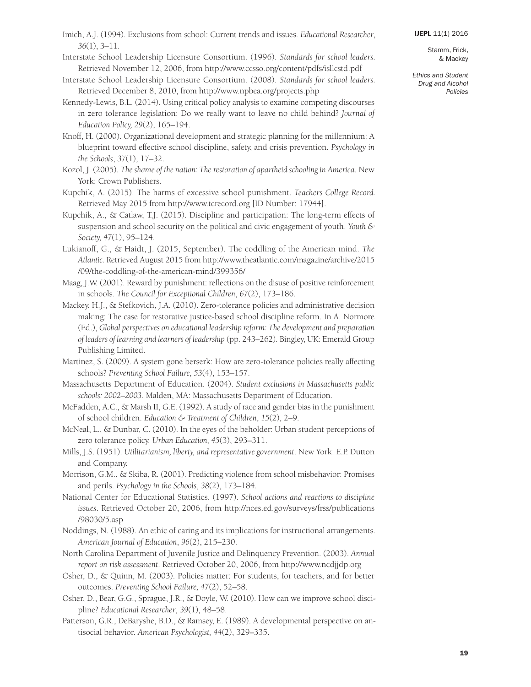Stamm, Frick, & Mackey

- Imich, A.J. (1994). Exclusions from school: Current trends and issues. *Educational Researcher*, *36*(1), 3–11.
- Interstate School Leadership Licensure Consortium. (1996). *Standards for school leaders.* Retrieved November 12, 2006, from <http://www.ccsso.org/content/pdfs/isllcstd.pdf>
- Interstate School Leadership Licensure Consortium. (2008). *Standards for school leaders.* Retrieved December 8, 2010, from <http://www.npbea.org/projects.php>
- Kennedy-Lewis, B.L. (2014). Using critical policy analysis to examine competing discourses in zero tolerance legislation: Do we really want to leave no child behind? *Journal of Education Policy, 29*(2), 165–194.
- Knoff, H. (2000). Organizational development and strategic planning for the millennium: A blueprint toward effective school discipline, safety, and crisis prevention. *Psychology in the Schools*, *37*(1), 17–32.
- Kozol, J. (2005). *The shame of the nation: The restoration of apartheid schooling in America.* New York: Crown Publishers.
- Kupchik, A. (2015). The harms of excessive school punishment. *Teachers College Record.* Retrieved May 2015 from <http://www.tcrecord.org> [ID Number: 17944].
- Kupchik, A., & Catlaw, T.J. (2015). Discipline and participation: The long-term effects of suspension and school security on the political and civic engagement of youth. *Youth & Society, 47*(1), 95–124.
- Lukianoff, G., & Haidt, J. (2015, September). The coddling of the American mind. *The Atlantic.* Retrieved August 2015 from [http://www.theatlantic.com/magazine/archive/2015](http://www.theatlantic.com/magazine/archive/2015/09/the-coddling-of-the-american-mind/399356) [/09/the-coddling-of-the-american-mind/399356/](http://www.theatlantic.com/magazine/archive/2015/09/the-coddling-of-the-american-mind/399356)
- Maag, J.W. (2001). Reward by punishment: reflections on the disuse of positive reinforcement in schools. *The Council for Exceptional Children*, *67*(2), 173–186.
- Mackey, H.J., & Stefkovich, J.A. (2010). Zero-tolerance policies and administrative decision making: The case for restorative justice-based school discipline reform. In A. Normore (Ed.), *Global perspectives on educational leadership reform: The development and preparation of leaders of learning and learners of leadership* (pp. 243–262). Bingley, UK: Emerald Group Publishing Limited.
- Martinez, S. (2009). A system gone berserk: How are zero-tolerance policies really affecting schools? *Preventing School Failure, 53*(4), 153–157.
- Massachusetts Department of Education. (2004). *Student exclusions in Massachusetts public schools: 2002–2003.* Malden, MA: Massachusetts Department of Education.
- McFadden, A.C., & Marsh II, G.E. (1992). A study of race and gender bias in the punishment of school children. *Education & Treatment of Children*, *15*(2), 2–9.
- McNeal, L., & Dunbar, C. (2010). In the eyes of the beholder: Urban student perceptions of zero tolerance policy. *Urban Education, 45*(3), 293–311.
- Mills, J.S. (1951). *Utilitarianism, liberty, and representative government*. New York: E.P. Dutton and Company.
- Morrison, G.M., & Skiba, R. (2001). Predicting violence from school misbehavior: Promises and perils. *Psychology in the Schools*, *38*(2), 173–184.
- National Center for Educational Statistics. (1997). *School actions and reactions to discipline issues*. Retrieved October 20, 2006, from [http://nces.ed.gov/surveys/frss/publications](http://nces.ed.gov/surveys/frss/publications/98030/5.asp) [/98030/5.asp](http://nces.ed.gov/surveys/frss/publications/98030/5.asp)
- Noddings, N. (1988). An ethic of caring and its implications for instructional arrangements. *American Journal of Education*, *96*(2), 215–230.
- North Carolina Department of Juvenile Justice and Delinquency Prevention. (2003). *Annual report on risk assessment*. Retrieved October 20, 2006, from <http://www.ncdjjdp.org>
- Osher, D., & Quinn, M. (2003). Policies matter: For students, for teachers, and for better outcomes. *Preventing School Failure, 47*(2), 52–58.
- Osher, D., Bear, G.G., Sprague, J.R., & Doyle, W. (2010). How can we improve school discipline? *Educational Researcher*, *39*(1), 48–58.
- Patterson, G.R., DeBaryshe, B.D., & Ramsey, E. (1989). A developmental perspective on antisocial behavior. *American Psychologist, 44*(2), 329–335.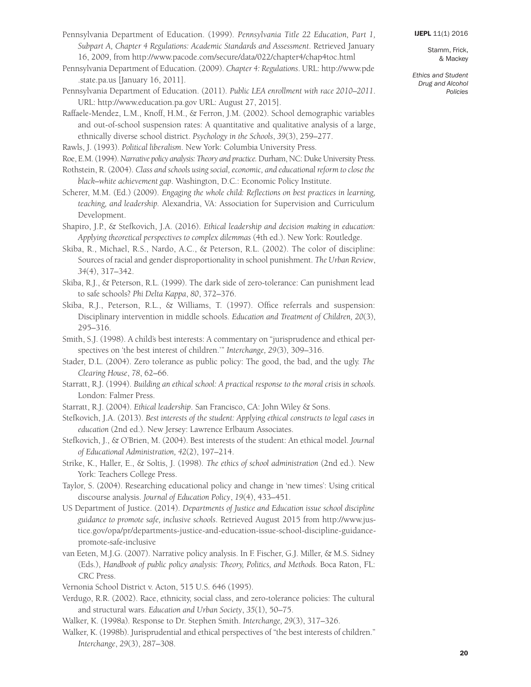Pennsylvania Department of Education. (1999). *Pennsylvania Title 22 Education, Part 1, Subpart A, Chapter 4 Regulations: Academic Standards and Assessment*. Retrieved January 16, 2009, from <http://www.pacode.com/secure/data/022/chapter4/chap4toc.html>

- Pennsylvania Department of Education. (2009). *Chapter 4: Regulations*. URL: [http://www.pde](http://www.pde.state.pa.us) [.state.pa.us](http://www.pde.state.pa.us) [January 16, 2011].
- Pennsylvania Department of Education. (2011). *Public LEA enrollment with race 2010–2011*. URL: <http://www.education.pa.gov> URL: August 27, 2015].

Raffaele-Mendez, L.M., Knoff, H.M., & Ferron, J.M. (2002). School demographic variables and out-of-school suspension rates: A quantitative and qualitative analysis of a large, ethnically diverse school district. *Psychology in the Schools*, *39*(3), 259–277.

Rawls, J. (1993). *Political liberalism*. New York: Columbia University Press.

- Roe, E.M.(1994).*Narrative policy analysis: Theory and practice.*Durham, NC:DukeUniversity Press.
- Rothstein, R. (2004). *Class and schools using social, economic, and educational reform to close the black–white achievement gap*. Washington, D.C.: Economic Policy Institute.
- Scherer, M.M. (Ed.) (2009). *Engaging the whole child: Reflections on best practices in learning, teaching, and leadership.* Alexandria, VA: Association for Supervision and Curriculum Development.
- Shapiro, J.P., & Stefkovich, J.A. (2016). *Ethical leadership and decision making in education: Applying theoretical perspectives to complex dilemmas* (4th ed.). New York: Routledge.
- Skiba, R., Michael, R.S., Nardo, A.C., & Peterson, R.L. (2002). The color of discipline: Sources of racial and gender disproportionality in school punishment. *The Urban Review*, *34*(4), 317–342.
- Skiba, R.J., & Peterson, R.L. (1999). The dark side of zero-tolerance: Can punishment lead to safe schools? *Phi Delta Kappa*, *80*, 372–376.
- Skiba, R.J., Peterson, R.L., & Williams, T. (1997). Office referrals and suspension: Disciplinary intervention in middle schools. *Education and Treatment of Children, 20*(3), 295–316.
- Smith, S.J. (1998). A child's best interests: A commentary on "jurisprudence and ethical perspectives on 'the best interest of children.'" *Interchange, 29(*3), 309–316.
- Stader, D.L. (2004). Zero tolerance as public policy: The good, the bad, and the ugly. *The Clearing House*, *78*, 62–66.
- Starratt, R.J. (1994). *Building an ethical school: A practical response to the moral crisis in schools.* London: Falmer Press.
- Starratt, R.J. (2004). *Ethical leadership*. San Francisco, CA: John Wiley & Sons.
- Stefkovich, J.A. (2013). *Best interests of the student: Applying ethical constructs to legal cases in education* (2nd ed.). New Jersey: Lawrence Erlbaum Associates.
- Stefkovich, J., & O'Brien, M. (2004). Best interests of the student: An ethical model. *Journal of Educational Administration, 42*(2), 197–214.
- Strike, K., Haller, E., & Soltis, J. (1998). *The ethics of school administration* (2nd ed.). New York: Teachers College Press.
- Taylor, S. (2004). Researching educational policy and change in 'new times': Using critical discourse analysis. *Journal of Education Policy*, *19*(4), 433–451.
- US Department of Justice. (2014). *Departments of Justice and Education issue school discipline guidance to promote safe, inclusive schools*. Retrieved August 2015 from http://www.justice.gov/opa/pr/departments-justice-and-education-issue-school-discipline-guidancepromote-safe-inclusive
- van Eeten, M.J.G. (2007). Narrative policy analysis. In F. Fischer, G.J. Miller, & M.S. Sidney (Eds.), *Handbook of public policy analysis: Theory, Politics, and Methods.* Boca Raton, FL: CRC Press.

Vernonia School District v. Acton, 515 U.S. 646 (1995).

Verdugo, R.R. (2002). Race, ethnicity, social class, and zero-tolerance policies: The cultural and structural wars. *Education and Urban Society*, *35*(1), 50–75.

Walker, K. (1998a). Response to Dr. Stephen Smith. *Interchange, 29*(3), 317–326.

Walker, K. (1998b). Jurisprudential and ethical perspectives of "the best interests of children." *Interchange*, *29*(3), 287–308.

Stamm, Frick, & Mackey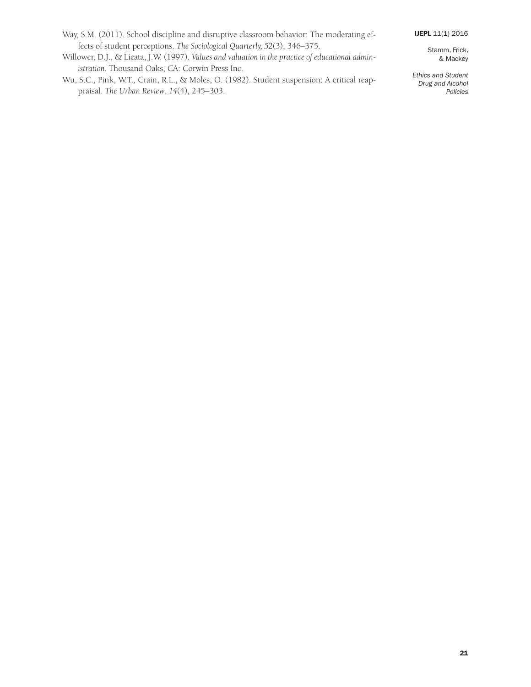- Way, S.M. (2011). School discipline and disruptive classroom behavior: The moderating effects of student perceptions. *The Sociological Quarterly, 52*(3), 346–375.
- Willower, D.J., & Licata, J.W. (1997). *Values and valuation in the practice of educational administration.* Thousand Oaks, CA: Corwin Press Inc.
- Wu, S.C., Pink, W.T., Crain, R.L., & Moles, O. (1982). Student suspension: A critical reappraisal. *The Urban Review*, *14*(4), 245–303.

Stamm, Frick, & Mackey